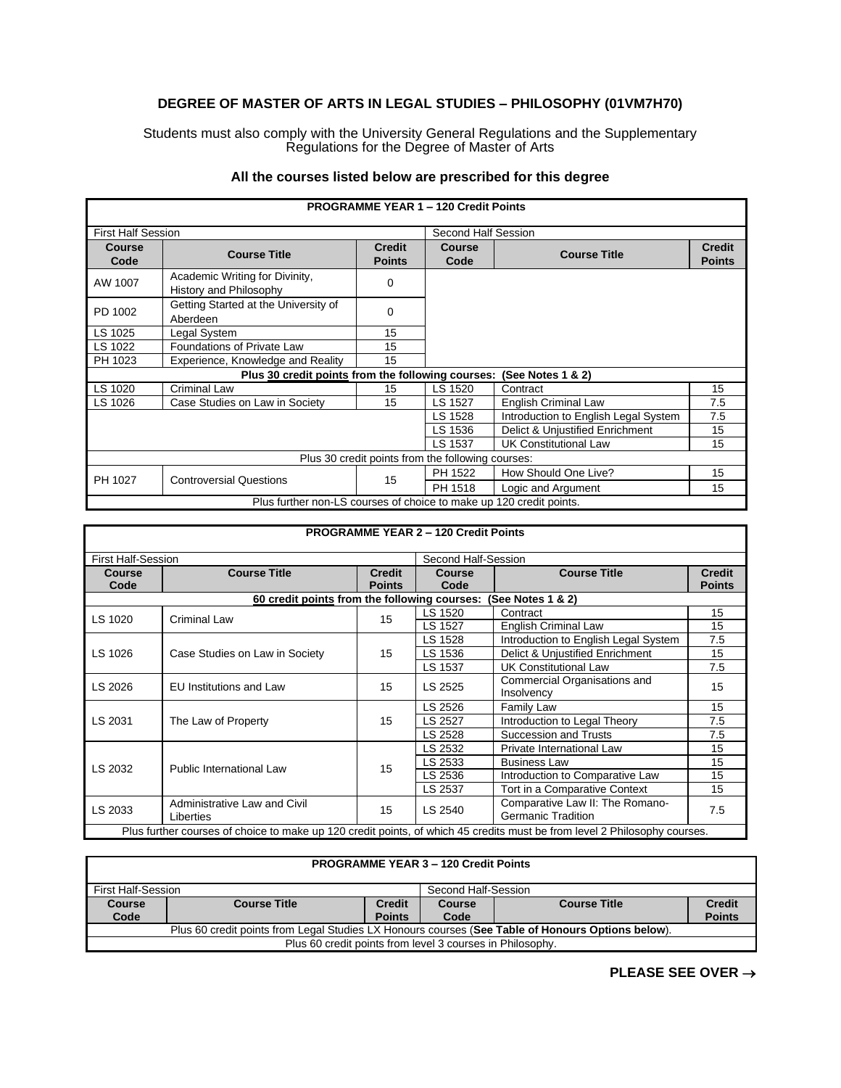## **DEGREE OF MASTER OF ARTS IN LEGAL STUDIES – PHILOSOPHY (01VM7H70)**

Students must also comply with the University General Regulations and the Supplementary Regulations for the Degree of Master of Arts

## **All the courses listed below are prescribed for this degree**

| <b>PROGRAMME YEAR 1 - 120 Credit Points</b>                         |                                                          |                                |                       |                                 |                                |  |
|---------------------------------------------------------------------|----------------------------------------------------------|--------------------------------|-----------------------|---------------------------------|--------------------------------|--|
| <b>First Half Session</b>                                           |                                                          | Second Half Session            |                       |                                 |                                |  |
| <b>Course</b><br>Code                                               | <b>Course Title</b>                                      | <b>Credit</b><br><b>Points</b> | <b>Course</b><br>Code | <b>Course Title</b>             | <b>Credit</b><br><b>Points</b> |  |
| AW 1007                                                             | Academic Writing for Divinity,<br>History and Philosophy | 0                              |                       |                                 |                                |  |
| PD 1002                                                             | Getting Started at the University of<br>Aberdeen         | $\mathbf 0$                    |                       |                                 |                                |  |
| LS 1025                                                             | Legal System                                             | 15                             |                       |                                 |                                |  |
| LS 1022                                                             | Foundations of Private Law                               | 15                             |                       |                                 |                                |  |
| PH 1023                                                             | Experience, Knowledge and Reality                        | 15                             |                       |                                 |                                |  |
|                                                                     | Plus 30 credit points from the following courses:        |                                |                       | (See Notes $1 & 2$ )            |                                |  |
| LS 1020                                                             | <b>Criminal Law</b>                                      | 15                             | LS 1520               | Contract                        | 15                             |  |
| LS 1026                                                             | Case Studies on Law in Society                           | 15                             | LS 1527               | <b>English Criminal Law</b>     | 7.5                            |  |
|                                                                     | 7.5<br>LS 1528<br>Introduction to English Legal System   |                                |                       |                                 |                                |  |
|                                                                     |                                                          |                                |                       | Delict & Unjustified Enrichment | 15                             |  |
|                                                                     |                                                          |                                | LS 1537               | <b>UK Constitutional Law</b>    | 15                             |  |
| Plus 30 credit points from the following courses:                   |                                                          |                                |                       |                                 |                                |  |
|                                                                     |                                                          |                                | PH 1522               | How Should One Live?            | 15                             |  |
| PH 1027                                                             | <b>Controversial Questions</b>                           | 15                             | PH 1518               | Logic and Argument              | 15                             |  |
| Plus further non-LS courses of choice to make up 120 credit points. |                                                          |                                |                       |                                 |                                |  |

| <b>PROGRAMME YEAR 2 - 120 Credit Points</b>                                                                               |                                                                   |                                |                       |                                                              |                                |  |  |
|---------------------------------------------------------------------------------------------------------------------------|-------------------------------------------------------------------|--------------------------------|-----------------------|--------------------------------------------------------------|--------------------------------|--|--|
| <b>First Half-Session</b>                                                                                                 |                                                                   |                                | Second Half-Session   |                                                              |                                |  |  |
| <b>Course</b><br>Code                                                                                                     | <b>Course Title</b>                                               | <b>Credit</b><br><b>Points</b> | <b>Course</b><br>Code | <b>Course Title</b>                                          | <b>Credit</b><br><b>Points</b> |  |  |
|                                                                                                                           | 60 credit points from the following courses:<br>(See Notes 1 & 2) |                                |                       |                                                              |                                |  |  |
| LS 1020                                                                                                                   | <b>Criminal Law</b>                                               | 15                             | LS 1520               | Contract                                                     | 15                             |  |  |
|                                                                                                                           |                                                                   |                                | LS 1527               | <b>English Criminal Law</b>                                  | 15                             |  |  |
|                                                                                                                           | Case Studies on Law in Society                                    | 15                             | LS 1528               | Introduction to English Legal System                         | 7.5                            |  |  |
| LS 1026                                                                                                                   |                                                                   |                                | LS 1536               | Delict & Unjustified Enrichment                              | 15                             |  |  |
|                                                                                                                           |                                                                   |                                | LS 1537               | <b>UK Constitutional Law</b>                                 | 7.5                            |  |  |
| LS 2026                                                                                                                   | <b>EU</b> Institutions and Law                                    | 15                             | LS 2525               | Commercial Organisations and<br>Insolvency                   | 15                             |  |  |
| LS 2031                                                                                                                   | The Law of Property                                               | 15                             | LS 2526               | Family Law                                                   | 15                             |  |  |
|                                                                                                                           |                                                                   |                                | LS 2527               | Introduction to Legal Theory                                 | 7.5                            |  |  |
|                                                                                                                           |                                                                   |                                | LS 2528               | <b>Succession and Trusts</b>                                 | 7.5                            |  |  |
|                                                                                                                           | Public International Law                                          | 15                             | LS 2532               | Private International Law                                    | 15                             |  |  |
| LS 2032                                                                                                                   |                                                                   |                                | LS 2533               | <b>Business Law</b>                                          | 15                             |  |  |
|                                                                                                                           |                                                                   |                                | LS 2536               | Introduction to Comparative Law                              | 15                             |  |  |
|                                                                                                                           |                                                                   |                                | LS 2537               | Tort in a Comparative Context                                | 15                             |  |  |
| LS 2033                                                                                                                   | Administrative Law and Civil<br>Liberties                         | 15                             | LS 2540               | Comparative Law II: The Romano-<br><b>Germanic Tradition</b> | 7.5                            |  |  |
| Plus further courses of choice to make up 120 credit points, of which 45 credits must be from level 2 Philosophy courses. |                                                                   |                                |                       |                                                              |                                |  |  |

| <b>PROGRAMME YEAR 3 - 120 Credit Points</b>               |                                                                                                   |               |      |  |               |  |
|-----------------------------------------------------------|---------------------------------------------------------------------------------------------------|---------------|------|--|---------------|--|
|                                                           | Second Half-Session<br>First Half-Session                                                         |               |      |  |               |  |
| <b>Course</b>                                             | <b>Credit</b><br><b>Credit</b><br><b>Course Title</b><br><b>Course Title</b><br>Course            |               |      |  |               |  |
| Code                                                      |                                                                                                   | <b>Points</b> | Code |  | <b>Points</b> |  |
|                                                           | Plus 60 credit points from Legal Studies LX Honours courses (See Table of Honours Options below). |               |      |  |               |  |
| Plus 60 credit points from level 3 courses in Philosophy. |                                                                                                   |               |      |  |               |  |

**PLEASE SEE OVER** →